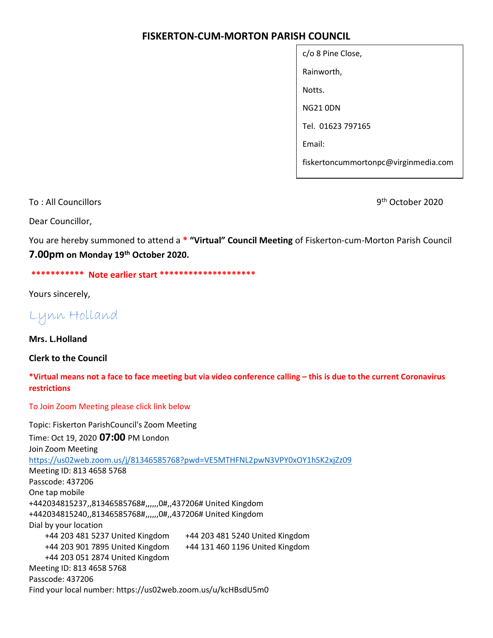## FISKERTON-CUM-MORTON PARISH COUNCIL

| c/o 8 Pine Close,                    |
|--------------------------------------|
| Rainworth,                           |
| Notts.                               |
| NG21 0DN                             |
| Tel. 01623 797165                    |
| Email:                               |
| fiskertoncummortonpc@virginmedia.com |

To : All Councillors et al. 2020 and 2020 and 2020 and 2020 and 2020 and 2020 and 2020 and 2020 and 2020 and 20

Dear Councillor,

You are hereby summoned to attend a \* "Virtual" Council Meeting of Fiskerton-cum-Morton Parish Council 7.00pm on Monday 19th October 2020.

\*\*\*\*\*\*\*\*\*\*\* Note earlier start \*\*\*\*\*\*\*\*\*\*\*\*\*\*\*\*\*\*\*\*

Yours sincerely,

Lynn Holland

Mrs. L.Holland

Clerk to the Council

\*Virtual means not a face to face meeting but via video conference calling – this is due to the current Coronavirus restrictions

To Join Zoom Meeting please click link below

Topic: Fiskerton ParishCouncil's Zoom Meeting Time: Oct 19, 2020 07:00 PM London Join Zoom Meeting https://us02web.zoom.us/j/81346585768?pwd=VE5MTHFNL2pwN3VPY0xOY1hSK2xjZz09 Meeting ID: 813 4658 5768 Passcode: 437206 One tap mobile +442034815237,,81346585768#,,,,,,0#,,437206# United Kingdom +442034815240,,81346585768#,,,,,,0#,,437206# United Kingdom Dial by your location +44 203 481 5237 United Kingdom +44 203 481 5240 United Kingdom +44 203 901 7895 United Kingdom +44 131 460 1196 United Kingdom +44 203 051 2874 United Kingdom Meeting ID: 813 4658 5768 Passcode: 437206 Find your local number: https://us02web.zoom.us/u/kcHBsdU5m0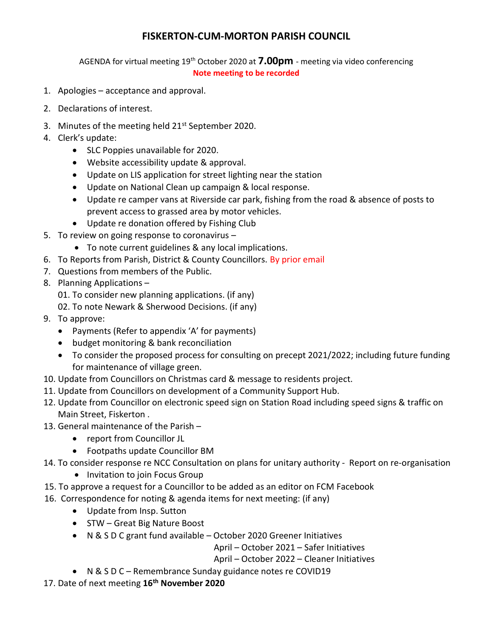## FISKERTON-CUM-MORTON PARISH COUNCIL

AGENDA for virtual meeting  $19<sup>th</sup>$  October 2020 at **7.00pm** - meeting via video conferencing Note meeting to be recorded

- 1. Apologies acceptance and approval.
- 2. Declarations of interest.
- 3. Minutes of the meeting held  $21<sup>st</sup>$  September 2020.
- 4. Clerk's update:
	- SLC Poppies unavailable for 2020.
	- Website accessibility update & approval.
	- Update on LIS application for street lighting near the station
	- Update on National Clean up campaign & local response.
	- Update re camper vans at Riverside car park, fishing from the road & absence of posts to prevent access to grassed area by motor vehicles.
	- Update re donation offered by Fishing Club
- 5. To review on going response to coronavirus
	- To note current guidelines & any local implications.
- 6. To Reports from Parish, District & County Councillors. By prior email
- 7. Questions from members of the Public.
- 8. Planning Applications
	- 01. To consider new planning applications. (if any)
	- 02. To note Newark & Sherwood Decisions. (if any)
- 9. To approve:
	- Payments (Refer to appendix 'A' for payments)
	- budget monitoring & bank reconciliation
	- To consider the proposed process for consulting on precept 2021/2022; including future funding for maintenance of village green.
- 10. Update from Councillors on Christmas card & message to residents project.
- 11. Update from Councillors on development of a Community Support Hub.
- 12. Update from Councillor on electronic speed sign on Station Road including speed signs & traffic on Main Street, Fiskerton .
- 13. General maintenance of the Parish
	- report from Councillor JL
	- Footpaths update Councillor BM
- 14. To consider response re NCC Consultation on plans for unitary authority Report on re-organisation
	- Invitation to join Focus Group
- 15. To approve a request for a Councillor to be added as an editor on FCM Facebook
- 16. Correspondence for noting & agenda items for next meeting: (if any)
	- Update from Insp. Sutton
	- STW Great Big Nature Boost
	- N & S D C grant fund available October 2020 Greener Initiatives

April – October 2021 – Safer Initiatives

April – October 2022 – Cleaner Initiatives

N & S D C – Remembrance Sunday guidance notes re COVID19

17. Date of next meeting 16<sup>th</sup> November 2020